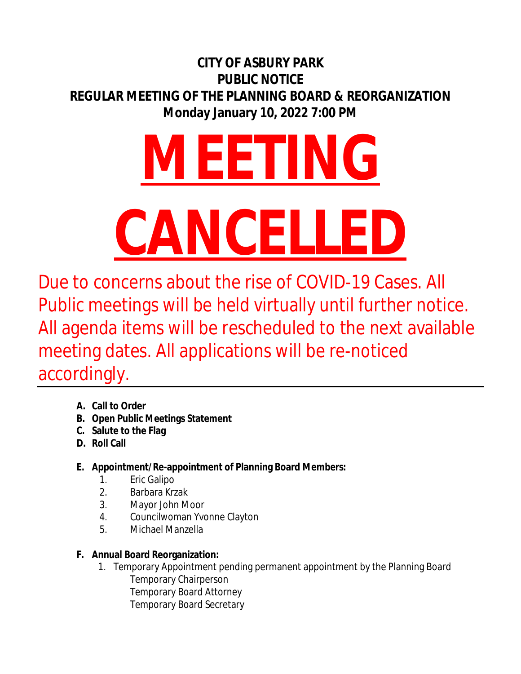# **CITY OF ASBURY PARK PUBLIC NOTICE REGULAR MEETING OF THE PLANNING BOARD & REORGANIZATION Monday January 10, 2022 7:00 PM**

# **MEETING CANCELLED**

Due to concerns about the rise of COVID-19 Cases. All Public meetings will be held virtually until further notice. All agenda items will be rescheduled to the next available meeting dates. All applications will be re-noticed accordingly.

- **A. Call to Order**
- **B. Open Public Meetings Statement**
- **C. Salute to the Flag**
- **D. Roll Call**
- **E. Appointment/Re-appointment of Planning Board Members:**
	- 1. Eric Galipo
	- 2. Barbara Krzak
	- 3. Mayor John Moor
	- 4. Councilwoman Yvonne Clayton
	- 5. Michael Manzella

## **F. Annual Board Reorganization:**

1. Temporary Appointment pending permanent appointment by the Planning Board Temporary Chairperson Temporary Board Attorney Temporary Board Secretary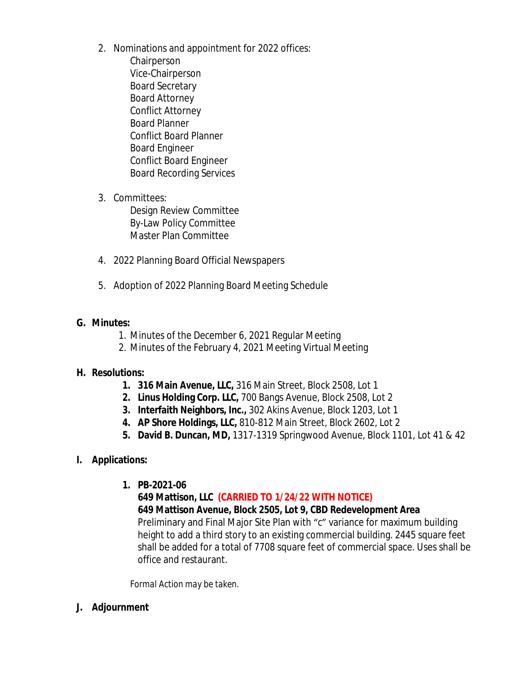- 2. Nominations and appointment for 2022 offices: Chairperson Vice-Chairperson Board Secretary Board Attorney Conflict Attorney Board Planner Conflict Board Planner Board Engineer Conflict Board Engineer Board Recording Services
- 3. Committees:

Design Review Committee By-Law Policy Committee Master Plan Committee

- 4. 2022 Planning Board Official Newspapers
- 5. Adoption of 2022 Planning Board Meeting Schedule

### **G. Minutes:**

- 1. Minutes of the December 6, 2021 Regular Meeting
- 2. Minutes of the February 4, 2021 Meeting Virtual Meeting

### **H. Resolutions:**

- **1. 316 Main Avenue, LLC,** 316 Main Street, Block 2508, Lot 1
- **2. Linus Holding Corp. LLC,** 700 Bangs Avenue, Block 2508, Lot 2
- **3. Interfaith Neighbors, Inc.,** 302 Akins Avenue, Block 1203, Lot 1
- **4. AP Shore Holdings, LLC,** 810-812 Main Street, Block 2602, Lot 2
- **5. David B. Duncan, MD,** 1317-1319 Springwood Avenue, Block 1101, Lot 41 & 42
- **I. Applications:**
	- **1. PB-2021-06**

**649 Mattison, LLC (CARRIED TO 1/24/22 WITH NOTICE) 649 Mattison Avenue, Block 2505, Lot 9, CBD Redevelopment Area** Preliminary and Final Major Site Plan with "c" variance for maximum building height to add a third story to an existing commercial building. 2445 square feet shall be added for a total of 7708 square feet of commercial space. Uses shall be office and restaurant.

*Formal Action may be taken.*

**J. Adjournment**